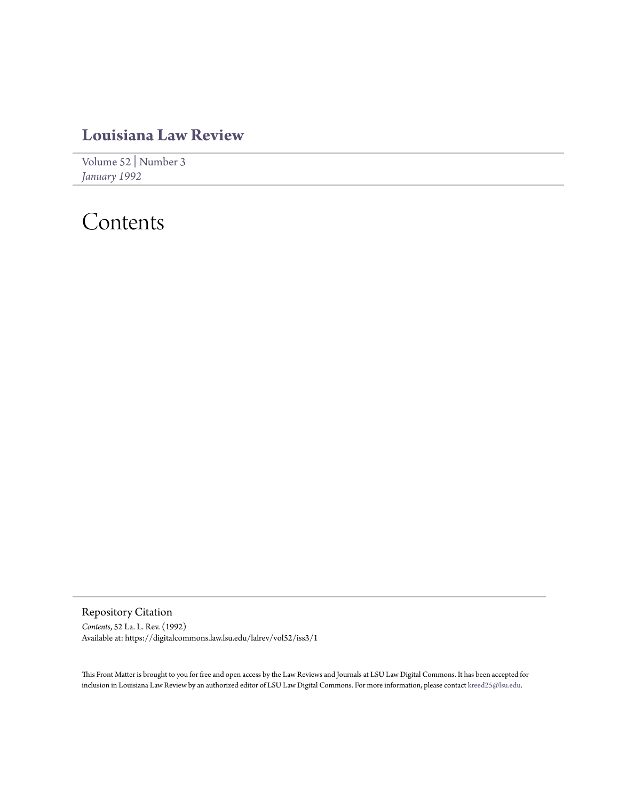## **[Louisiana Law Review](https://digitalcommons.law.lsu.edu/lalrev)**

[Volume 52](https://digitalcommons.law.lsu.edu/lalrev/vol52) | [Number 3](https://digitalcommons.law.lsu.edu/lalrev/vol52/iss3) *[January 1992](https://digitalcommons.law.lsu.edu/lalrev/vol52/iss3)*

## Contents

Repository Citation *Contents*, 52 La. L. Rev. (1992) Available at: https://digitalcommons.law.lsu.edu/lalrev/vol52/iss3/1

This Front Matter is brought to you for free and open access by the Law Reviews and Journals at LSU Law Digital Commons. It has been accepted for inclusion in Louisiana Law Review by an authorized editor of LSU Law Digital Commons. For more information, please contact [kreed25@lsu.edu](mailto:kreed25@lsu.edu).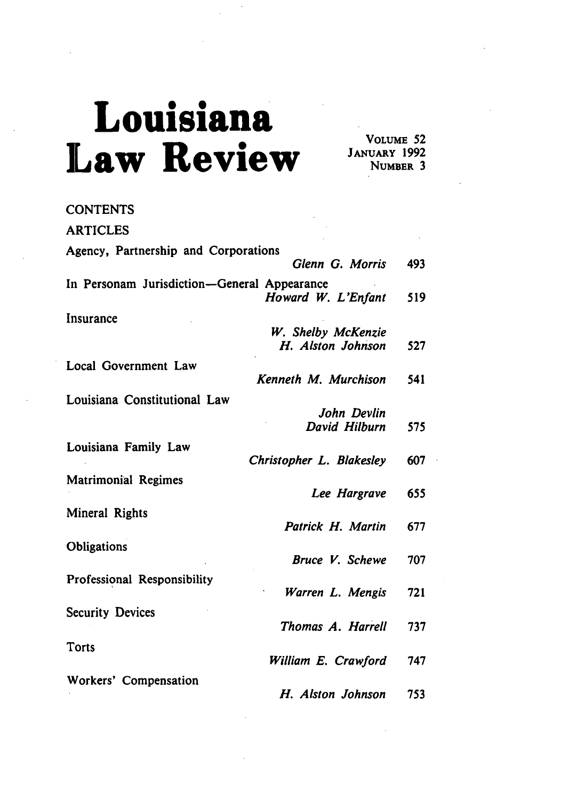## **Louisiana Law Review**

**VOLUME 52 JANUARY 1992** NUMBER **3**

| <b>CONTENTS</b>                             |                            |
|---------------------------------------------|----------------------------|
| <b>ARTICLES</b>                             |                            |
| Agency, Partnership and Corporations        | Glenn G. Morris<br>493     |
|                                             |                            |
| In Personam Jurisdiction-General Appearance | Howard W. L'Enfant<br>519  |
| Insurance                                   |                            |
|                                             | W. Shelby McKenzie         |
|                                             | H. Alston Johnson<br>527   |
| Local Government Law                        |                            |
| Kenneth M. Murchison                        | 541                        |
| Louisiana Constitutional Law                |                            |
|                                             | John Devlin                |
|                                             | David Hilburn<br>575       |
|                                             |                            |
| Louisiana Family Law                        |                            |
| Christopher L. Blakesley                    | 607                        |
| <b>Matrimonial Regimes</b>                  |                            |
|                                             | 655<br>Lee Hargrave        |
| Mineral Rights                              |                            |
|                                             | Patrick H. Martin<br>677   |
|                                             |                            |
| Obligations                                 |                            |
|                                             | Bruce V. Schewe<br>707     |
| Professional Responsibility                 |                            |
|                                             | 721<br>Warren L. Mengis    |
| <b>Security Devices</b>                     |                            |
|                                             | Thomas A. Harrell<br>737   |
|                                             |                            |
| Torts                                       |                            |
|                                             | William E. Crawford<br>747 |
| Workers' Compensation                       |                            |
|                                             | H. Alston Johnson<br>753   |